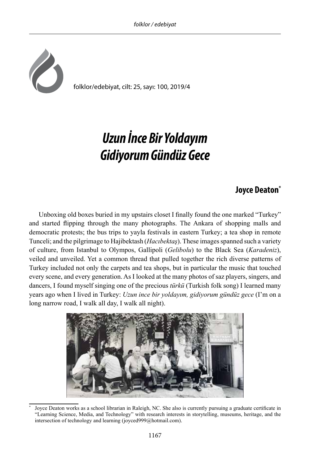

## *Uzun İnce Bir Yoldayım Gidiyorum Gündüz Gece*

## **Joyce Deaton\* <sup>1</sup>**

Unboxing old boxes buried in my upstairs closet I finally found the one marked "Turkey" and started flipping through the many photographs. The Ankara of shopping malls and democratic protests; the bus trips to yayla festivals in eastern Turkey; a tea shop in remote Tunceli; and the pilgrimage to Hajibektash (*Hacıbektaş*). These images spanned such a variety of culture, from Istanbul to Olympos, Gallipoli (*Gelibolu*) to the Black Sea (*Karadeniz*), veiled and unveiled. Yet a common thread that pulled together the rich diverse patterns of Turkey included not only the carpets and tea shops, but in particular the music that touched every scene, and every generation. As I looked at the many photos of saz players, singers, and dancers, I found myself singing one of the precious *türkü* (Turkish folk song) I learned many years ago when I lived in Turkey: *Uzun ince bir yoldayım, gidiyorum gündüz gece* (I'm on a long narrow road, I walk all day, I walk all night).



Joyce Deaton works as a school librarian in Raleigh, NC. She also is currently pursuing a graduate certificate in "Learning Science, Media, and Technology" with research interests in storytelling, museums, heritage, and the intersection of technology and learning (joyced999@hotmail.com).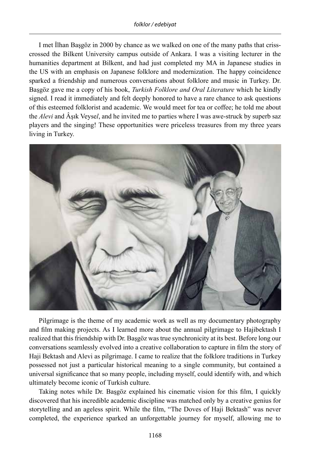## *folklor / edebiyat*

I met İlhan Başgöz in 2000 by chance as we walked on one of the many paths that crisscrossed the Bilkent University campus outside of Ankara. I was a visiting lecturer in the humanities department at Bilkent, and had just completed my MA in Japanese studies in the US with an emphasis on Japanese folklore and modernization. The happy coincidence sparked a friendship and numerous conversations about folklore and music in Turkey. Dr. Başgöz gave me a copy of his book, *Turkish Folklore and Oral Literature* which he kindly signed. I read it immediately and felt deeply honored to have a rare chance to ask questions of this esteemed folklorist and academic. We would meet for tea or coffee; he told me about the *Alevi* and Âşık Veyse*l*, and he invited me to parties where I was awe-struck by superb saz players and the singing! These opportunities were priceless treasures from my three years living in Turkey.



Pilgrimage is the theme of my academic work as well as my documentary photography and film making projects. As I learned more about the annual pilgrimage to Hajibektash I realized that this friendship with Dr. Başgöz was true synchronicity at its best. Before long our conversations seamlessly evolved into a creative collaboration to capture in film the story of Haji Bektash and Alevi as pilgrimage. I came to realize that the folklore traditions in Turkey possessed not just a particular historical meaning to a single community, but contained a universal significance that so many people, including myself, could identify with, and which ultimately become iconic of Turkish culture.

Taking notes while Dr. Başgöz explained his cinematic vision for this film, I quickly discovered that his incredible academic discipline was matched only by a creative genius for storytelling and an ageless spirit. While the film, "The Doves of Haji Bektash" was never completed, the experience sparked an unforgettable journey for myself, allowing me to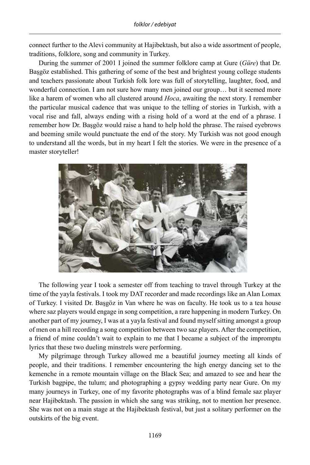connect further to the Alevi community at Hajibektash, but also a wide assortment of people, traditions, folklore, song and community in Turkey.

During the summer of 2001 I joined the summer folklore camp at Gure (*Güre*) that Dr. Başgöz established. This gathering of some of the best and brightest young college students and teachers passionate about Turkish folk lore was full of storytelling, laughter, food, and wonderful connection. I am not sure how many men joined our group... but it seemed more like a harem of women who all clustered around *Hoca*, awaiting the next story. I remember the particular musical cadence that was unique to the telling of stories in Turkish, with a vocal rise and fall, always ending with a rising hold of a word at the end of a phrase. I remember how Dr. Başgöz would raise a hand to help hold the phrase. The raised eyebrows and beeming smile would punctuate the end of the story. My Turkish was not good enough to understand all the words, but in my heart I felt the stories. We were in the presence of a master storyteller!



The following year I took a semester off from teaching to travel through Turkey at the time of the yayla festivals. I took my DAT recorder and made recordings like an Alan Lomax of Turkey. I visited Dr. Başgöz in Van where he was on faculty. He took us to a tea house where saz players would engage in song competition, a rare happening in modern Turkey. On another part of my journey, I was at a yayla festival and found myself sitting amongst a group of men on a hill recording a song competition between two saz players. After the competition, a friend of mine couldn't wait to explain to me that I became a subject of the impromptu lyrics that these two dueling minstrels were performing.

My pilgrimage through Turkey allowed me a beautiful journey meeting all kinds of people, and their traditions. I remember encountering the high energy dancing set to the kemenche in a remote mountain village on the Black Sea; and amazed to see and hear the Turkish bagpipe, the tulum; and photographing a gypsy wedding party near Gure. On my many journeys in Turkey, one of my favorite photographs was of a blind female saz player near Hajibektash. The passion in which she sang was striking, not to mention her presence. She was not on a main stage at the Hajibektash festival, but just a solitary performer on the outskirts of the big event.